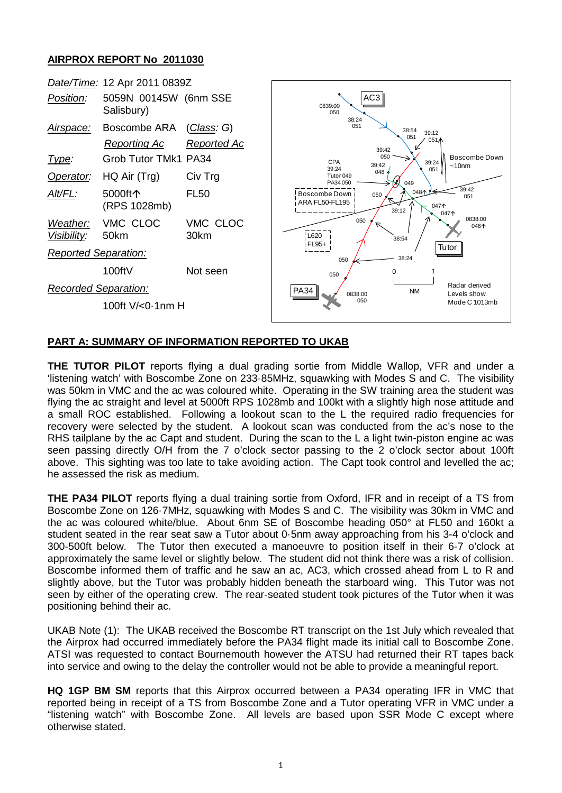## **AIRPROX REPORT No 2011030**



## **PART A: SUMMARY OF INFORMATION REPORTED TO UKAB**

**THE TUTOR PILOT** reports flying a dual grading sortie from Middle Wallop, VFR and under a 'listening watch' with Boscombe Zone on 233·85MHz, squawking with Modes S and C. The visibility was 50km in VMC and the ac was coloured white. Operating in the SW training area the student was flying the ac straight and level at 5000ft RPS 1028mb and 100kt with a slightly high nose attitude and a small ROC established. Following a lookout scan to the L the required radio frequencies for recovery were selected by the student. A lookout scan was conducted from the ac's nose to the RHS tailplane by the ac Capt and student. During the scan to the L a light twin-piston engine ac was seen passing directly O/H from the 7 o'clock sector passing to the 2 o'clock sector about 100ft above. This sighting was too late to take avoiding action. The Capt took control and levelled the ac; he assessed the risk as medium.

**THE PA34 PILOT** reports flying a dual training sortie from Oxford, IFR and in receipt of a TS from Boscombe Zone on 126·7MHz, squawking with Modes S and C. The visibility was 30km in VMC and the ac was coloured white/blue. About 6nm SE of Boscombe heading 050° at FL50 and 160kt a student seated in the rear seat saw a Tutor about 0·5nm away approaching from his 3-4 o'clock and 300-500ft below. The Tutor then executed a manoeuvre to position itself in their 6-7 o'clock at approximately the same level or slightly below. The student did not think there was a risk of collision. Boscombe informed them of traffic and he saw an ac, AC3, which crossed ahead from L to R and slightly above, but the Tutor was probably hidden beneath the starboard wing. This Tutor was not seen by either of the operating crew. The rear-seated student took pictures of the Tutor when it was positioning behind their ac.

UKAB Note (1): The UKAB received the Boscombe RT transcript on the 1st July which revealed that the Airprox had occurred immediately before the PA34 flight made its initial call to Boscombe Zone. ATSI was requested to contact Bournemouth however the ATSU had returned their RT tapes back into service and owing to the delay the controller would not be able to provide a meaningful report.

**HQ 1GP BM SM** reports that this Airprox occurred between a PA34 operating IFR in VMC that reported being in receipt of a TS from Boscombe Zone and a Tutor operating VFR in VMC under a "listening watch" with Boscombe Zone. All levels are based upon SSR Mode C except where otherwise stated.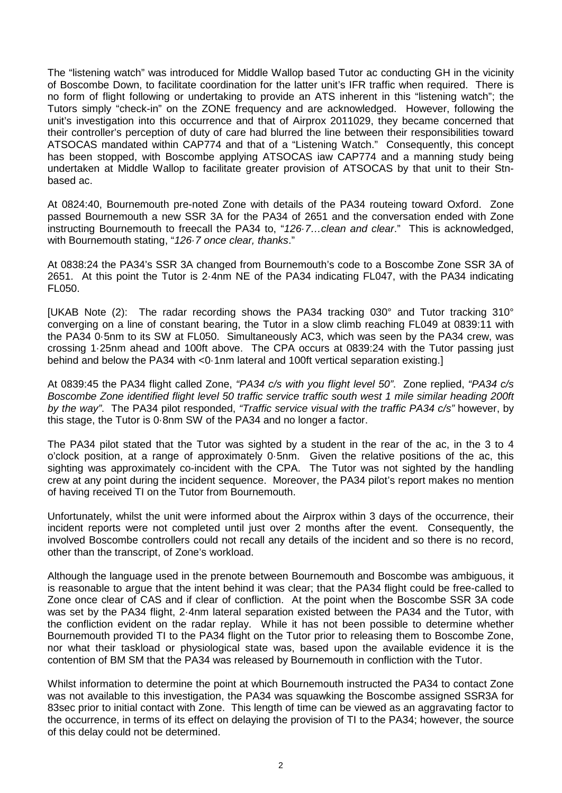The "listening watch" was introduced for Middle Wallop based Tutor ac conducting GH in the vicinity of Boscombe Down, to facilitate coordination for the latter unit's IFR traffic when required. There is no form of flight following or undertaking to provide an ATS inherent in this "listening watch"; the Tutors simply "check-in" on the ZONE frequency and are acknowledged. However, following the unit's investigation into this occurrence and that of Airprox 2011029, they became concerned that their controller's perception of duty of care had blurred the line between their responsibilities toward ATSOCAS mandated within CAP774 and that of a "Listening Watch." Consequently, this concept has been stopped, with Boscombe applying ATSOCAS iaw CAP774 and a manning study being undertaken at Middle Wallop to facilitate greater provision of ATSOCAS by that unit to their Stnbased ac.

At 0824:40, Bournemouth pre-noted Zone with details of the PA34 routeing toward Oxford. Zone passed Bournemouth a new SSR 3A for the PA34 of 2651 and the conversation ended with Zone instructing Bournemouth to freecall the PA34 to, "*126·7…clean and clear*." This is acknowledged, with Bournemouth stating, "*126·7 once clear, thanks*."

At 0838:24 the PA34's SSR 3A changed from Bournemouth's code to a Boscombe Zone SSR 3A of 2651. At this point the Tutor is 2·4nm NE of the PA34 indicating FL047, with the PA34 indicating FL050.

[UKAB Note (2): The radar recording shows the PA34 tracking 030° and Tutor tracking 310° converging on a line of constant bearing, the Tutor in a slow climb reaching FL049 at 0839:11 with the PA34 0·5nm to its SW at FL050. Simultaneously AC3, which was seen by the PA34 crew, was crossing 1·25nm ahead and 100ft above. The CPA occurs at 0839:24 with the Tutor passing just behind and below the PA34 with <0·1nm lateral and 100ft vertical separation existing.]

At 0839:45 the PA34 flight called Zone, *"PA34 c/s with you flight level 50"*. Zone replied, *"PA34 c/s Boscombe Zone identified flight level 50 traffic service traffic south west 1 mile similar heading 200ft by the way"*. The PA34 pilot responded, *"Traffic service visual with the traffic PA34 c/s"* however, by this stage, the Tutor is 0·8nm SW of the PA34 and no longer a factor.

The PA34 pilot stated that the Tutor was sighted by a student in the rear of the ac, in the 3 to 4 o'clock position, at a range of approximately 0·5nm. Given the relative positions of the ac, this sighting was approximately co-incident with the CPA. The Tutor was not sighted by the handling crew at any point during the incident sequence. Moreover, the PA34 pilot's report makes no mention of having received TI on the Tutor from Bournemouth.

Unfortunately, whilst the unit were informed about the Airprox within 3 days of the occurrence, their incident reports were not completed until just over 2 months after the event. Consequently, the involved Boscombe controllers could not recall any details of the incident and so there is no record, other than the transcript, of Zone's workload.

Although the language used in the prenote between Bournemouth and Boscombe was ambiguous, it is reasonable to argue that the intent behind it was clear; that the PA34 flight could be free-called to Zone once clear of CAS and if clear of confliction. At the point when the Boscombe SSR 3A code was set by the PA34 flight, 2·4nm lateral separation existed between the PA34 and the Tutor, with the confliction evident on the radar replay. While it has not been possible to determine whether Bournemouth provided TI to the PA34 flight on the Tutor prior to releasing them to Boscombe Zone, nor what their taskload or physiological state was, based upon the available evidence it is the contention of BM SM that the PA34 was released by Bournemouth in confliction with the Tutor.

Whilst information to determine the point at which Bournemouth instructed the PA34 to contact Zone was not available to this investigation, the PA34 was squawking the Boscombe assigned SSR3A for 83sec prior to initial contact with Zone. This length of time can be viewed as an aggravating factor to the occurrence, in terms of its effect on delaying the provision of TI to the PA34; however, the source of this delay could not be determined.